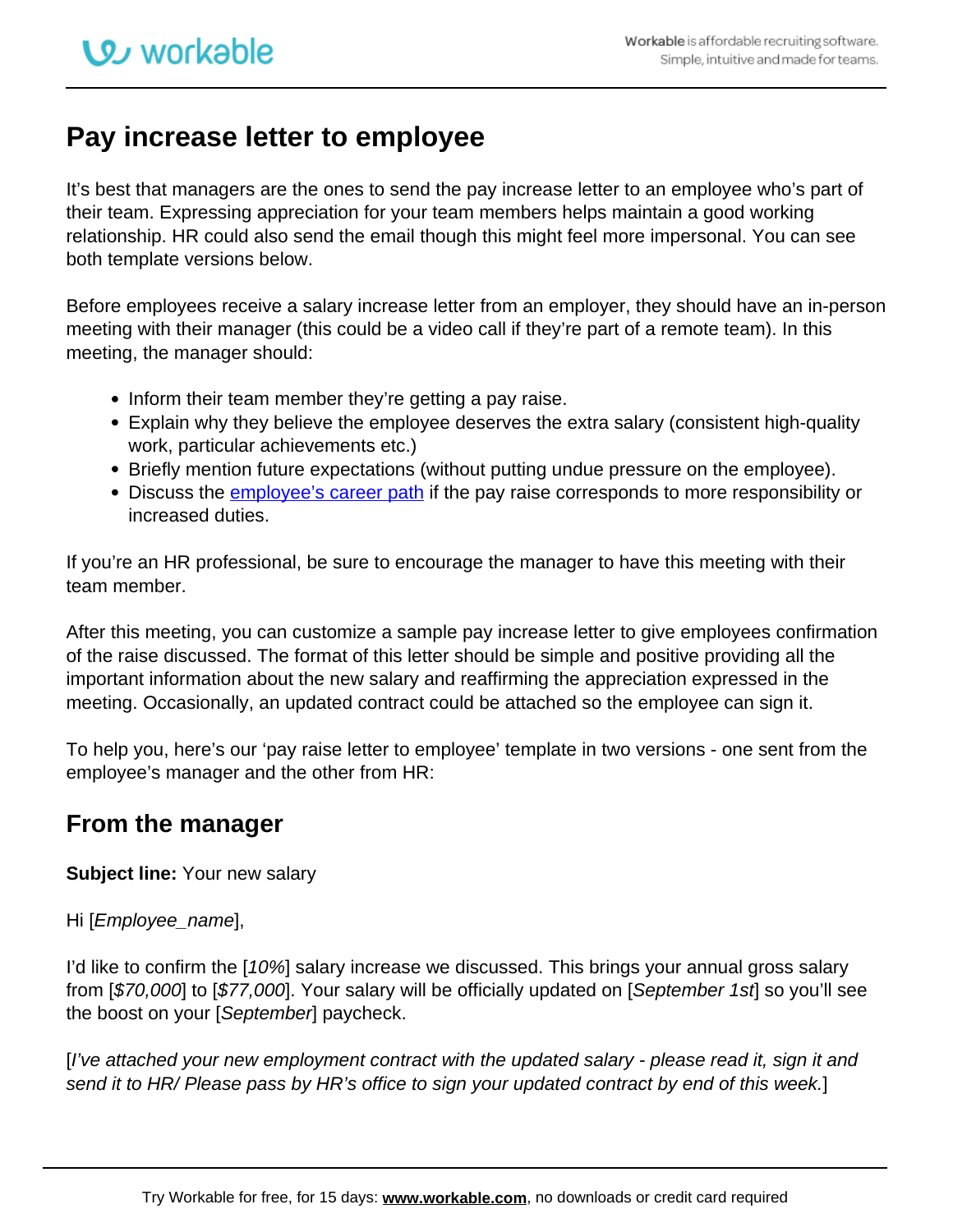## **Pay increase letter to employee**

It's best that managers are the ones to send the pay increase letter to an employee who's part of their team. Expressing appreciation for your team members helps maintain a good working relationship. HR could also send the email though this might feel more impersonal. You can see both template versions below.

Before employees receive a salary increase letter from an employer, they should have an in-person meeting with their manager (this could be a video call if they're part of a remote team). In this meeting, the manager should:

- Inform their team member they're getting a pay raise.
- Explain why they believe the employee deserves the extra salary (consistent high-quality work, particular achievements etc.)
- Briefly mention future expectations (without putting undue pressure on the employee).
- Discuss the *employee's career path* if the pay raise corresponds to more responsibility or increased duties.

If you're an HR professional, be sure to encourage the manager to have this meeting with their team member.

After this meeting, you can customize a sample pay increase letter to give employees confirmation of the raise discussed. The format of this letter should be simple and positive providing all the important information about the new salary and reaffirming the appreciation expressed in the meeting. Occasionally, an updated contract could be attached so the employee can sign it.

To help you, here's our 'pay raise letter to employee' template in two versions - one sent from the employee's manager and the other from HR:

## **From the manager**

**Subject line:** Your new salary

## Hi [Employee\_name],

I'd like to confirm the [10%] salary increase we discussed. This brings your annual gross salary from [\$70,000] to [\$77,000]. Your salary will be officially updated on [September 1st] so you'll see the boost on your [September] paycheck.

[I've attached your new employment contract with the updated salary - please read it, sign it and send it to HR/ Please pass by HR's office to sign your updated contract by end of this week.]